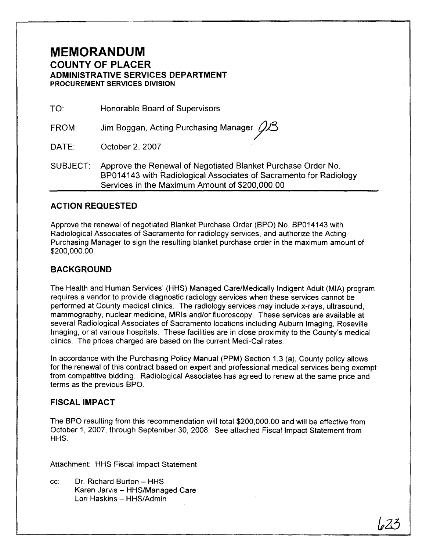## **MEMORANDUM COUNTY OF PLACER ADMINISTRATIVE SERVICES DEPARTMENT PROCUREMENT SERVICES DIVISION**

TO: Honorable Board of Supervisors

FROM: Jim Boggan, Acting Purchasing Manager  $Q\mathcal{B}$ 

DATE: October 2, 2007

SUBJECT: Approve the Renewal of Negotiated Blanket Purchase Order No. BP014143 with Radiological Associates of Sacramento for Radiology Services in the Maximum Amount of \$200,000.00

### **ACTION REQUESTED**

Approve the renewal of negotiated Blanket Purchase Order (BPO) No. BP014143 with Radiological Associates of Sacramento for radiology services, and authorize the Acting Purchasing Manager to sign the resulting blanket purchase order in the maximum amount of \$200,000.00.

#### **BACKGROUND**

The Health and Human Services' (HHS) Managed Care/Medically Indigent Adult (MIA) program requires a vendor to provide diagnostic radiology services when these services cannot be performed at County medical clinics. The radiology services may include x-rays, ultrasound, mammography, nuclear medicine, MRls and/or fluoroscopy. These services are available at several Radiological Associates of Sacramento locations including Auburn Imaging, Roseville Imaging, or at various hospitals. These facilities are in close proximity to the County's medical clinics. The prices charged are based on the current Medi-Cal rates.

In accordance with the Purchasing Policy Manual (PPM) Section 1.3 (a), County policy allows for the renewal of this contract based on expert and professional medical services being exempt from competitive bidding. Radiological Associates has agreed to renew at the same price and terms as the previous BPO.

#### **FISCAL IMPACT**

The BPO resulting from this recommendation will total \$200,000.00 and will be effective from October I, 2007, through September 30, 2008. See attached Fiscal Impact Statement from HHS.

Attachment: HHS Fiscal Impact Statement

cc: Dr. Richard Burton - HHS Karen Jarvis - HHS/Managed Care Lori Haskins - HHS/Admin